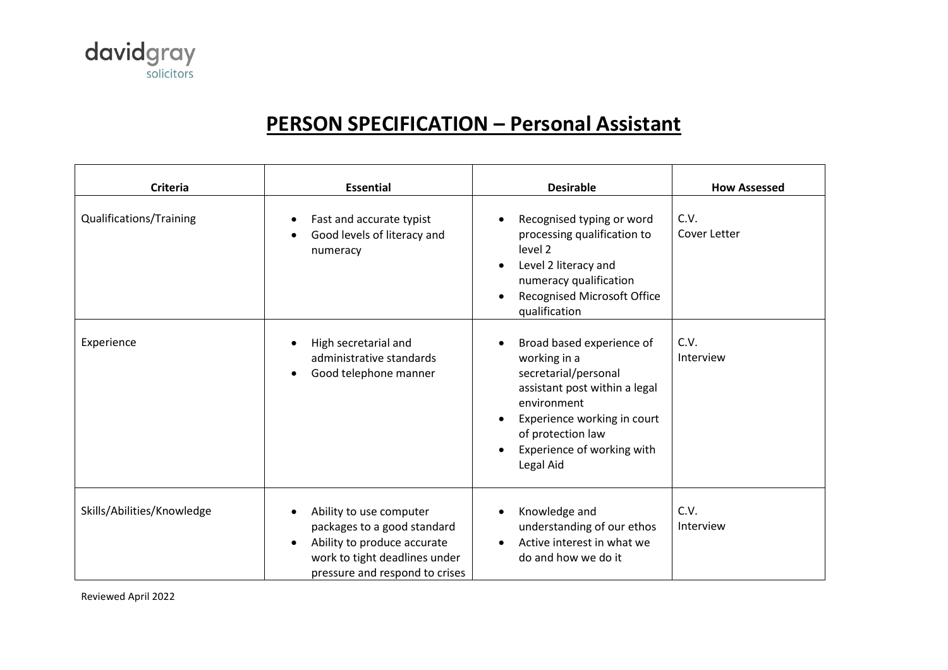

## **PERSON SPECIFICATION – Personal Assistant**

| <b>Criteria</b>            | <b>Essential</b>                                                                                                                                                      | <b>Desirable</b>                                                                                                                                                                                                                           | <b>How Assessed</b>      |
|----------------------------|-----------------------------------------------------------------------------------------------------------------------------------------------------------------------|--------------------------------------------------------------------------------------------------------------------------------------------------------------------------------------------------------------------------------------------|--------------------------|
| Qualifications/Training    | Fast and accurate typist<br>Good levels of literacy and<br>numeracy                                                                                                   | Recognised typing or word<br>$\bullet$<br>processing qualification to<br>level <sub>2</sub><br>Level 2 literacy and<br>$\bullet$<br>numeracy qualification<br><b>Recognised Microsoft Office</b><br>$\bullet$<br>qualification             | C.V.<br>Cover Letter     |
| Experience                 | High secretarial and<br>administrative standards<br>Good telephone manner<br>$\bullet$                                                                                | Broad based experience of<br>$\bullet$<br>working in a<br>secretarial/personal<br>assistant post within a legal<br>environment<br>Experience working in court<br>$\bullet$<br>of protection law<br>Experience of working with<br>Legal Aid | C.V.<br>Interview        |
| Skills/Abilities/Knowledge | Ability to use computer<br>packages to a good standard<br>Ability to produce accurate<br>$\bullet$<br>work to tight deadlines under<br>pressure and respond to crises | Knowledge and<br>$\bullet$<br>understanding of our ethos<br>Active interest in what we<br>do and how we do it                                                                                                                              | C.V.<br><b>Interview</b> |

Reviewed April 2022